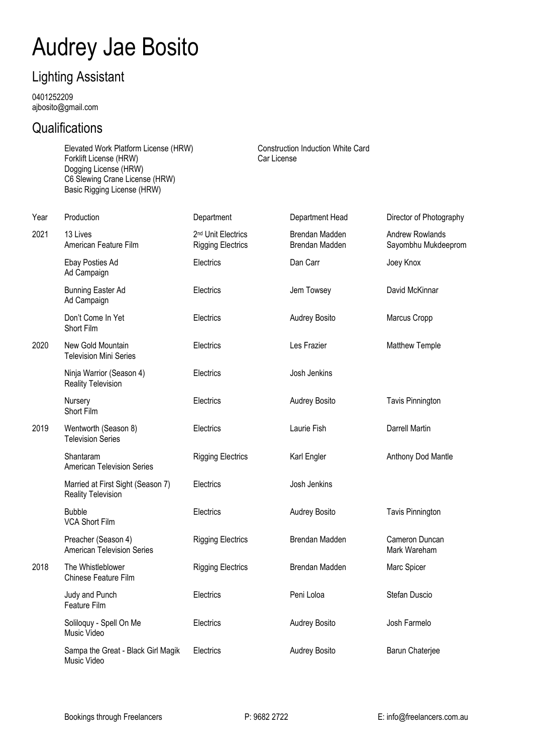## Audrey Jae Bosito

## Lighting Assistant

0401252209 ajbosito@gmail.com

## **Qualifications**

Elevated Work Platform License (HRW) Construction Induction White Card Forklift License (HRW) Car License Dogging License (HRW) C6 Slewing Crane License (HRW) Basic Rigging License (HRW)

| Year | Production                                                     | Department                                                 | Department Head                  | Director of Photography                       |
|------|----------------------------------------------------------------|------------------------------------------------------------|----------------------------------|-----------------------------------------------|
| 2021 | 13 Lives<br>American Feature Film                              | 2 <sup>nd</sup> Unit Electrics<br><b>Rigging Electrics</b> | Brendan Madden<br>Brendan Madden | <b>Andrew Rowlands</b><br>Sayombhu Mukdeeprom |
|      | Ebay Posties Ad<br>Ad Campaign                                 | Electrics                                                  | Dan Carr                         | Joey Knox                                     |
|      | <b>Bunning Easter Ad</b><br>Ad Campaign                        | Electrics                                                  | Jem Towsey                       | David McKinnar                                |
|      | Don't Come In Yet<br>Short Film                                | Electrics                                                  | Audrey Bosito                    | Marcus Cropp                                  |
| 2020 | New Gold Mountain<br><b>Television Mini Series</b>             | Electrics                                                  | Les Frazier                      | <b>Matthew Temple</b>                         |
|      | Ninja Warrior (Season 4)<br><b>Reality Television</b>          | Electrics                                                  | Josh Jenkins                     |                                               |
|      | Nursery<br>Short Film                                          | Electrics                                                  | <b>Audrey Bosito</b>             | <b>Tavis Pinnington</b>                       |
| 2019 | Wentworth (Season 8)<br><b>Television Series</b>               | Electrics                                                  | Laurie Fish                      | Darrell Martin                                |
|      | Shantaram<br><b>American Television Series</b>                 | <b>Rigging Electrics</b>                                   | Karl Engler                      | Anthony Dod Mantle                            |
|      | Married at First Sight (Season 7)<br><b>Reality Television</b> | Electrics                                                  | Josh Jenkins                     |                                               |
|      | <b>Bubble</b><br><b>VCA Short Film</b>                         | Electrics                                                  | Audrey Bosito                    | <b>Tavis Pinnington</b>                       |
|      | Preacher (Season 4)<br><b>American Television Series</b>       | <b>Rigging Electrics</b>                                   | Brendan Madden                   | Cameron Duncan<br>Mark Wareham                |
| 2018 | The Whistleblower<br>Chinese Feature Film                      | <b>Rigging Electrics</b>                                   | Brendan Madden                   | Marc Spicer                                   |
|      | Judy and Punch<br>Feature Film                                 | Electrics                                                  | Peni Loloa                       | Stefan Duscio                                 |
|      | Soliloquy - Spell On Me<br>Music Video                         | Electrics                                                  | Audrey Bosito                    | Josh Farmelo                                  |
|      | Sampa the Great - Black Girl Magik<br>Music Video              | Electrics                                                  | <b>Audrey Bosito</b>             | Barun Chaterjee                               |